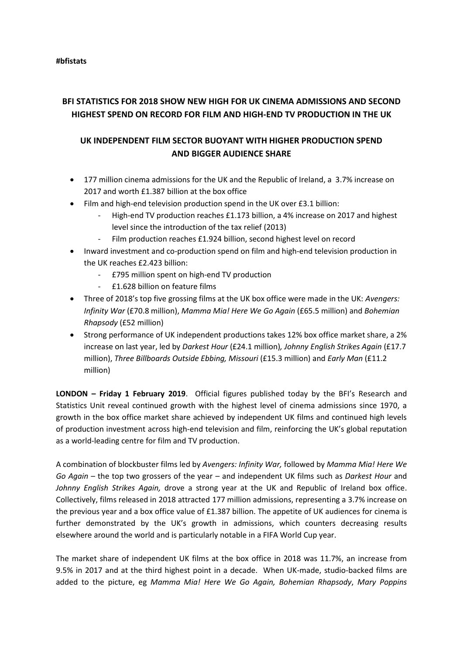# **BFI STATISTICS FOR 2018 SHOW NEW HIGH FOR UK CINEMA ADMISSIONS AND SECOND HIGHEST SPEND ON RECORD FOR FILM AND HIGH-END TV PRODUCTION IN THE UK**

## **UK INDEPENDENT FILM SECTOR BUOYANT WITH HIGHER PRODUCTION SPEND AND BIGGER AUDIENCE SHARE**

- 177 million cinema admissions for the UK and the Republic of Ireland, a 3.7% increase on 2017 and worth £1.387 billion at the box office
- Film and high-end television production spend in the UK over £3.1 billion:
	- High-end TV production reaches £1.173 billion, a 4% increase on 2017 and highest level since the introduction of the tax relief (2013)
	- Film production reaches £1.924 billion, second highest level on record
- Inward investment and co-production spend on film and high-end television production in the UK reaches £2.423 billion:
	- £795 million spent on high-end TV production
	- £1.628 billion on feature films
- Three of 2018's top five grossing films at the UK box office were made in the UK: *Avengers: Infinity War* (£70.8 million), *Mamma Mia! Here We Go Again* (£65.5 million) and *Bohemian Rhapsody* (£52 million)
- Strong performance of UK independent productions takes 12% box office market share, a 2% increase on last year, led by *Darkest Hour* (£24.1 million)*, Johnny English Strikes Again* (£17.7 million), *Three Billboards Outside Ebbing, Missouri* (£15.3 million) and *Early Man* (£11.2 million)

**LONDON – Friday 1 February 2019**. Official figures published today by the BFI's Research and Statistics Unit reveal continued growth with the highest level of cinema admissions since 1970, a growth in the box office market share achieved by independent UK films and continued high levels of production investment across high-end television and film, reinforcing the UK's global reputation as a world-leading centre for film and TV production.

A combination of blockbuster films led by *Avengers: Infinity War,* followed by *Mamma Mia! Here We Go Again* – the top two grossers of the year – and independent UK films such as *Darkest Hour* and *Johnny English Strikes Again,* drove a strong year at the UK and Republic of Ireland box office. Collectively, films released in 2018 attracted 177 million admissions, representing a 3.7% increase on the previous year and a box office value of £1.387 billion. The appetite of UK audiences for cinema is further demonstrated by the UK's growth in admissions, which counters decreasing results elsewhere around the world and is particularly notable in a FIFA World Cup year.

The market share of independent UK films at the box office in 2018 was 11.7%, an increase from 9.5% in 2017 and at the third highest point in a decade. When UK-made, studio-backed films are added to the picture, eg *Mamma Mia! Here We Go Again, Bohemian Rhapsody*, *Mary Poppins*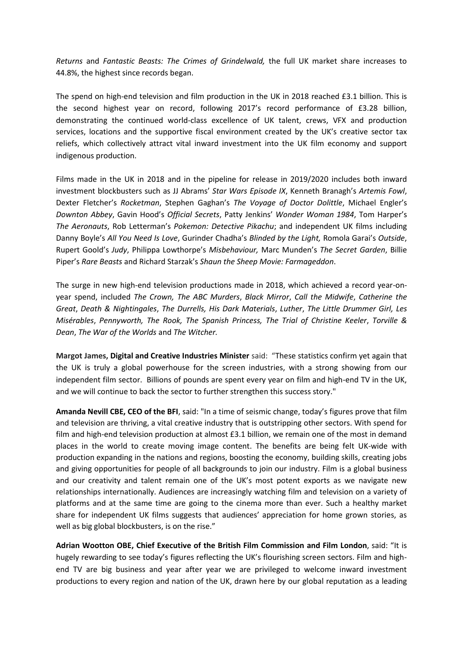*Returns* and *Fantastic Beasts: The Crimes of Grindelwald,* the full UK market share increases to 44.8%, the highest since records began.

The spend on high-end television and film production in the UK in 2018 reached £3.1 billion. This is the second highest year on record, following 2017's record performance of £3.28 billion, demonstrating the continued world-class excellence of UK talent, crews, VFX and production services, locations and the supportive fiscal environment created by the UK's creative sector tax reliefs, which collectively attract vital inward investment into the UK film economy and support indigenous production.

Films made in the UK in 2018 and in the pipeline for release in 2019/2020 includes both inward investment blockbusters such as JJ Abrams' *Star Wars Episode IX*, Kenneth Branagh's *Artemis Fowl*, Dexter Fletcher's *Rocketman*, Stephen Gaghan's *The Voyage of Doctor Dolittle*, Michael Engler's *Downton Abbey*, Gavin Hood's *Official Secrets*, Patty Jenkins' *Wonder Woman 1984*, Tom Harper's *The Aeronauts*, Rob Letterman's *Pokemon: Detective Pikachu*; and independent UK films including Danny Boyle's *All You Need Is Love*, Gurinder Chadha's *Blinded by the Light,* Romola Garai's *Outside*, Rupert Goold's *Judy*, Philippa Lowthorpe's *Misbehaviour,* Marc Munden's *The Secret Garden*, Billie Piper's *Rare Beasts* and Richard Starzak's *Shaun the Sheep Movie: Farmageddon*.

The surge in new high-end television productions made in 2018, which achieved a record year-onyear spend, included *The Crown, The ABC Murders*, *Black Mirror*, *Call the Midwife*, *Catherine the Great*, *Death & Nightingales*, *The Durrells, His Dark Materials*, *Luther*, *The Little Drummer Girl, Les Misérables*, *Pennyworth, The Rook, The Spanish Princess, The Trial of Christine Keeler*, *Torville & Dean*, *The War of the Worlds* and *The Witcher.*

**Margot James, Digital and Creative Industries Minister** said: "These statistics confirm yet again that the UK is truly a global powerhouse for the screen industries, with a strong showing from our independent film sector. Billions of pounds are spent every year on film and high-end TV in the UK, and we will continue to back the sector to further strengthen this success story."

**Amanda Nevill CBE, CEO of the BFI**, said: "In a time of seismic change, today's figures prove that film and television are thriving, a vital creative industry that is outstripping other sectors. With spend for film and high-end television production at almost £3.1 billion, we remain one of the most in demand places in the world to create moving image content. The benefits are being felt UK-wide with production expanding in the nations and regions, boosting the economy, building skills, creating jobs and giving opportunities for people of all backgrounds to join our industry. Film is a global business and our creativity and talent remain one of the UK's most potent exports as we navigate new relationships internationally. Audiences are increasingly watching film and television on a variety of platforms and at the same time are going to the cinema more than ever. Such a healthy market share for independent UK films suggests that audiences' appreciation for home grown stories, as well as big global blockbusters, is on the rise."

**Adrian Wootton OBE, Chief Executive of the British Film Commission and Film London**, said: "It is hugely rewarding to see today's figures reflecting the UK's flourishing screen sectors. Film and highend TV are big business and year after year we are privileged to welcome inward investment productions to every region and nation of the UK, drawn here by our global reputation as a leading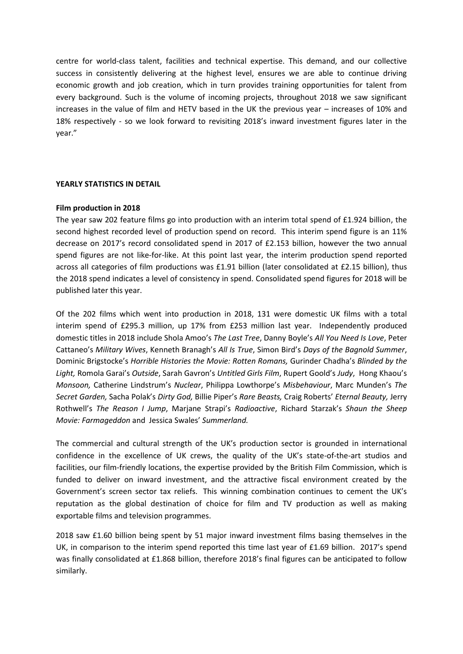centre for world-class talent, facilities and technical expertise. This demand, and our collective success in consistently delivering at the highest level, ensures we are able to continue driving economic growth and job creation, which in turn provides training opportunities for talent from every background. Such is the volume of incoming projects, throughout 2018 we saw significant increases in the value of film and HETV based in the UK the previous year – increases of 10% and 18% respectively - so we look forward to revisiting 2018's inward investment figures later in the year."

### **YEARLY STATISTICS IN DETAIL**

#### **Film production in 2018**

The year saw 202 feature films go into production with an interim total spend of £1.924 billion, the second highest recorded level of production spend on record. This interim spend figure is an 11% decrease on 2017's record consolidated spend in 2017 of £2.153 billion, however the two annual spend figures are not like-for-like. At this point last year, the interim production spend reported across all categories of film productions was £1.91 billion (later consolidated at £2.15 billion), thus the 2018 spend indicates a level of consistency in spend. Consolidated spend figures for 2018 will be published later this year.

Of the 202 films which went into production in 2018, 131 were domestic UK films with a total interim spend of £295.3 million, up 17% from £253 million last year. Independently produced domestic titles in 2018 include Shola Amoo's *The Last Tree*, Danny Boyle's *All You Need Is Love*, Peter Cattaneo's *Military Wives*, Kenneth Branagh's *All Is True*, Simon Bird's *Days of the Bagnold Summer*, Dominic Brigstocke's *Horrible Histories the Movie: Rotten Romans,* Gurinder Chadha's *Blinded by the Light,* Romola Garai's *Outside*, Sarah Gavron's *Untitled Girls Film*, Rupert Goold's *Judy*, Hong Khaou's *Monsoon,* Catherine Lindstrum's *Nuclear*, Philippa Lowthorpe's *Misbehaviour*, Marc Munden's *The Secret Garden,* Sacha Polak's *Dirty God,* Billie Piper's *Rare Beasts,* Craig Roberts' *Eternal Beauty,* Jerry Rothwell's *The Reason I Jump*, Marjane Strapi's *Radioactive*, Richard Starzak's *Shaun the Sheep Movie: Farmageddon* and Jessica Swales' *Summerland.*

The commercial and cultural strength of the UK's production sector is grounded in international confidence in the excellence of UK crews, the quality of the UK's state-of-the-art studios and facilities, our film-friendly locations, the expertise provided by the British Film Commission, which is funded to deliver on inward investment, and the attractive fiscal environment created by the Government's screen sector tax reliefs. This winning combination continues to cement the UK's reputation as the global destination of choice for film and TV production as well as making exportable films and television programmes.

2018 saw £1.60 billion being spent by 51 major inward investment films basing themselves in the UK, in comparison to the interim spend reported this time last year of £1.69 billion. 2017's spend was finally consolidated at £1.868 billion, therefore 2018's final figures can be anticipated to follow similarly.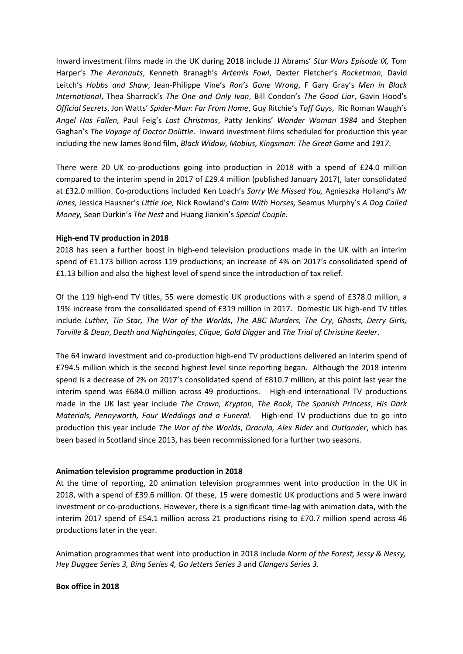Inward investment films made in the UK during 2018 include JJ Abrams' *Star Wars Episode IX,* Tom Harper's *The Aeronauts*, Kenneth Branagh's *Artemis Fowl*, Dexter Fletcher's *Rocketman*, David Leitch's *Hobbs and Shaw*, Jean-Philippe Vine's *Ron's Gone Wrong*, F Gary Gray's *Men in Black International*, Thea Sharrock's *The One and Only Ivan*, Bill Condon's *The Good Liar*, Gavin Hood's *Official Secrets*, Jon Watts' *Spider-Man: Far From Home*, Guy Ritchie's *Toff Guys*, Ric Roman Waugh's *Angel Has Fallen,* Paul Feig's *Last Christmas*, Patty Jenkins' *Wonder Woman 1984* and Stephen Gaghan's *The Voyage of Doctor Dolittle*. Inward investment films scheduled for production this year including the new James Bond film, *Black Widow, Mobius, Kingsman: The Great Game* and *1917*.

There were 20 UK co-productions going into production in 2018 with a spend of £24.0 million compared to the interim spend in 2017 of £29.4 million (published January 2017), later consolidated at £32.0 million. Co-productions included Ken Loach's *Sorry We Missed You,* Agnieszka Holland's *Mr Jones,* Jessica Hausner's *Little Joe,* Nick Rowland's *Calm With Horses,* Seamus Murphy's *A Dog Called Money,* Sean Durkin's *The Nest* and Huang Jianxin's *Special Couple.* 

## **High-end TV production in 2018**

2018 has seen a further boost in high-end television productions made in the UK with an interim spend of £1.173 billion across 119 productions; an increase of 4% on 2017's consolidated spend of £1.13 billion and also the highest level of spend since the introduction of tax relief.

Of the 119 high-end TV titles, 55 were domestic UK productions with a spend of £378.0 million, a 19% increase from the consolidated spend of £319 million in 2017. Domestic UK high-end TV titles include *Luther, Tin Star, The War of the Worlds*, *The ABC Murders, The Cry*, *Ghosts, Derry Girls, Torville & Dean*, *Death and Nightingales*, *Clique, Gold Digger* and *The Trial of Christine Keeler*.

The 64 inward investment and co-production high-end TV productions delivered an interim spend of £794.5 million which is the second highest level since reporting began. Although the 2018 interim spend is a decrease of 2% on 2017's consolidated spend of £810.7 million, at this point last year the interim spend was £684.0 million across 49 productions. High-end international TV productions made in the UK last year include *The Crown, Krypton*, *The Rook*, *The Spanish Princess*, *His Dark Materials, Pennyworth, Four Weddings and a Funeral.* High-end TV productions due to go into production this year include *The War of the Worlds*, *Dracula, Alex Rider* and *Outlander*, which has been based in Scotland since 2013, has been recommissioned for a further two seasons.

## **Animation television programme production in 2018**

At the time of reporting, 20 animation television programmes went into production in the UK in 2018, with a spend of £39.6 million. Of these, 15 were domestic UK productions and 5 were inward investment or co-productions. However, there is a significant time-lag with animation data, with the interim 2017 spend of £54.1 million across 21 productions rising to £70.7 million spend across 46 productions later in the year.

Animation programmes that went into production in 2018 include *Norm of the Forest, Jessy & Nessy, Hey Duggee Series 3, Bing Series 4, Go Jetters Series 3* and *Clangers Series 3.* 

#### **Box office in 2018**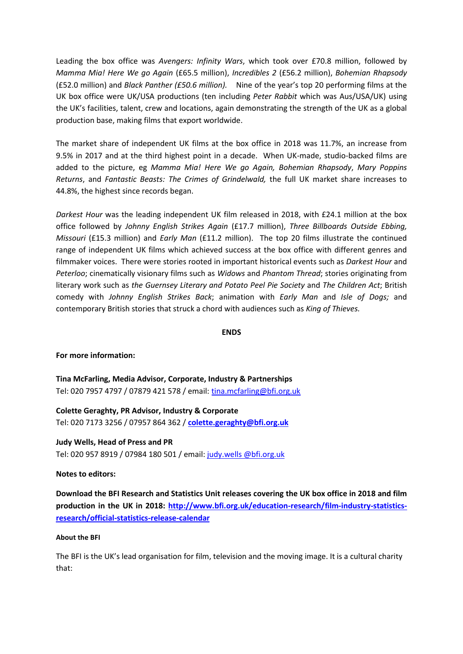Leading the box office was *Avengers: Infinity Wars*, which took over £70.8 million, followed by *Mamma Mia! Here We go Again* (£65.5 million), *Incredibles 2* (£56.2 million), *Bohemian Rhapsody* (£52.0 million) and *Black Panther (£50.6 million).* Nine of the year's top 20 performing films at the UK box office were UK/USA productions (ten including *Peter Rabbit* which was Aus/USA/UK) using the UK's facilities, talent, crew and locations, again demonstrating the strength of the UK as a global production base, making films that export worldwide.

The market share of independent UK films at the box office in 2018 was 11.7%, an increase from 9.5% in 2017 and at the third highest point in a decade. When UK-made, studio-backed films are added to the picture, eg *Mamma Mia! Here We go Again, Bohemian Rhapsody*, *Mary Poppins Returns*, and *Fantastic Beasts: The Crimes of Grindelwald,* the full UK market share increases to 44.8%, the highest since records began.

*Darkest Hour* was the leading independent UK film released in 2018, with £24.1 million at the box office followed by *Johnny English Strikes Again* (£17.7 million), *Three Billboards Outside Ebbing, Missouri* (£15.3 million) and *Early Man* (£11.2 million). The top 20 films illustrate the continued range of independent UK films which achieved success at the box office with different genres and filmmaker voices. There were stories rooted in important historical events such as *Darkest Hour* and *Peterloo*; cinematically visionary films such as *Widows* and *Phantom Thread*; stories originating from literary work such as *the Guernsey Literary and Potato Peel Pie Society* and *The Children Act*; British comedy with *Johnny English Strikes Back*; animation with *Early Man* and *Isle of Dogs;* and contemporary British stories that struck a chord with audiences such as *King of Thieves.*

## **ENDS**

## **For more information:**

**Tina McFarling, Media Advisor, Corporate, Industry & Partnerships** Tel: 020 7957 4797 / 07879 421 578 / email: [tina.mcfarling@bfi.org.uk](mailto:tina.mcfarling@bfi.org.uk)

**Colette Geraghty, PR Advisor, Industry & Corporate** Tel: 020 7173 3256 / 07957 864 362 / **[colette.geraghty@bfi.org.uk](mailto:colette.geraghty@bfi.org.uk)**

**Judy Wells, Head of Press and PR** Tel: 020 957 8919 / 07984 180 501 / email: [judy.wells @bfi.org.uk](mailto:judy.wells@bfi.org.uk)

#### **Notes to editors:**

**Download the BFI Research and Statistics Unit releases covering the UK box office in 2018 and film production in the UK in 2018: [http://www.bfi.org.uk/education-research/film-industry-statistics](http://www.bfi.org.uk/education-research/film-industry-statistics-research/official-statistics-release-calendar)[research/official-statistics-release-calendar](http://www.bfi.org.uk/education-research/film-industry-statistics-research/official-statistics-release-calendar)**

#### **About the BFI**

The BFI is the UK's lead organisation for film, television and the moving image. It is a cultural charity that: